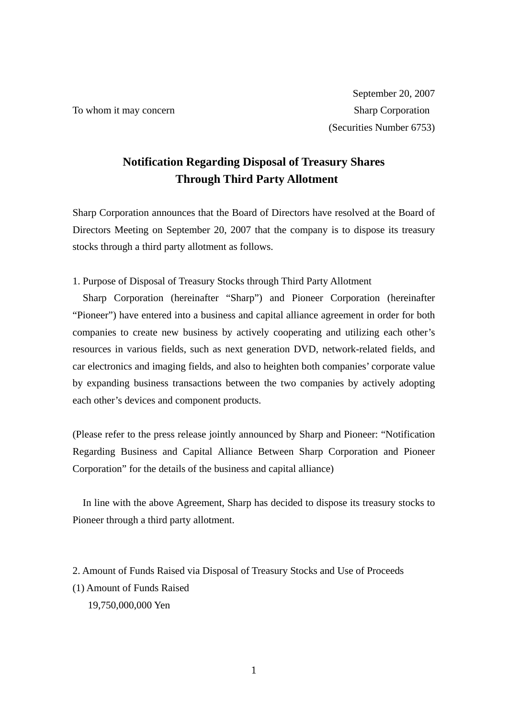# **Notification Regarding Disposal of Treasury Shares Through Third Party Allotment**

Sharp Corporation announces that the Board of Directors have resolved at the Board of Directors Meeting on September 20, 2007 that the company is to dispose its treasury stocks through a third party allotment as follows.

1. Purpose of Disposal of Treasury Stocks through Third Party Allotment

 Sharp Corporation (hereinafter "Sharp") and Pioneer Corporation (hereinafter "Pioneer") have entered into a business and capital alliance agreement in order for both companies to create new business by actively cooperating and utilizing each other's resources in various fields, such as next generation DVD, network-related fields, and car electronics and imaging fields, and also to heighten both companies' corporate value by expanding business transactions between the two companies by actively adopting each other's devices and component products.

(Please refer to the press release jointly announced by Sharp and Pioneer: "Notification Regarding Business and Capital Alliance Between Sharp Corporation and Pioneer Corporation" for the details of the business and capital alliance)

 In line with the above Agreement, Sharp has decided to dispose its treasury stocks to Pioneer through a third party allotment.

2. Amount of Funds Raised via Disposal of Treasury Stocks and Use of Proceeds (1) Amount of Funds Raised 19,750,000,000 Yen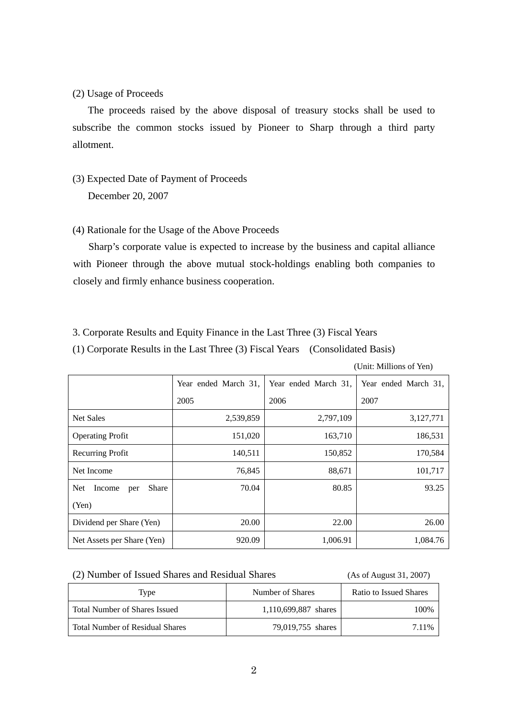(2) Usage of Proceeds

 The proceeds raised by the above disposal of treasury stocks shall be used to subscribe the common stocks issued by Pioneer to Sharp through a third party allotment.

- (3) Expected Date of Payment of Proceeds December 20, 2007
- (4) Rationale for the Usage of the Above Proceeds

 Sharp's corporate value is expected to increase by the business and capital alliance with Pioneer through the above mutual stock-holdings enabling both companies to closely and firmly enhance business cooperation.

3. Corporate Results and Equity Finance in the Last Three (3) Fiscal Years

(1) Corporate Results in the Last Three (3) Fiscal Years (Consolidated Basis)

(Unit: Millions of Yen)

|                                      | Year ended March 31, | Year ended March 31, | Year ended March 31, |
|--------------------------------------|----------------------|----------------------|----------------------|
|                                      | 2005                 | 2006                 | 2007                 |
| <b>Net Sales</b>                     | 2,539,859            | 2,797,109            | 3,127,771            |
| <b>Operating Profit</b>              | 151,020              | 163,710              | 186,531              |
| Recurring Profit                     | 140,511              | 150,852              | 170,584              |
| Net Income                           | 76,845               | 88,671               | 101,717              |
| <b>Net</b><br>Share<br>Income<br>per | 70.04                | 80.85                | 93.25                |
| (Yen)                                |                      |                      |                      |
| Dividend per Share (Yen)             | 20.00                | 22.00                | 26.00                |
| Net Assets per Share (Yen)           | 920.09               | 1,006.91             | 1,084.76             |

| (2) Number of Issued Shares and Residual Shares | (As of August 31, 2007) |
|-------------------------------------------------|-------------------------|
|-------------------------------------------------|-------------------------|

| Type                                   | Number of Shares     | Ratio to Issued Shares |  |
|----------------------------------------|----------------------|------------------------|--|
| Total Number of Shares Issued          | 1.110.699.887 shares | 100%                   |  |
| <b>Total Number of Residual Shares</b> | 79,019,755 shares    | 7 1 1 %                |  |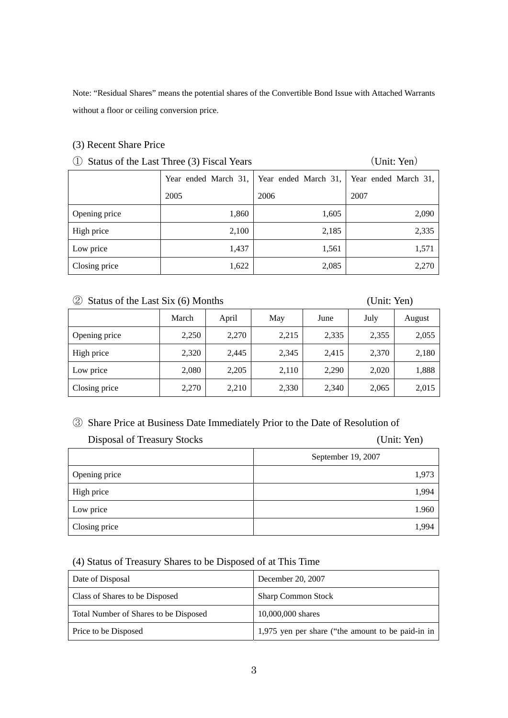Note: "Residual Shares" means the potential shares of the Convertible Bond Issue with Attached Warrants without a floor or ceiling conversion price.

### (3) Recent Share Price

# ① Status of the Last Three (3) Fiscal Years (Unit: Yen)

|               |       | Year ended March 31,   Year ended March 31,   Year ended March 31, |       |
|---------------|-------|--------------------------------------------------------------------|-------|
|               | 2005  | 2006                                                               | 2007  |
| Opening price | 1,860 | 1,605                                                              | 2,090 |
| High price    | 2,100 | 2,185                                                              | 2,335 |
| Low price     | 1,437 | 1,561                                                              | 1,571 |
| Closing price | 1,622 | 2,085                                                              | 2,270 |

# ② Status of the Last Six (6) Months (Unit: Yen)

|               | March | April | May   | June  | July  | August |
|---------------|-------|-------|-------|-------|-------|--------|
| Opening price | 2,250 | 2,270 | 2,215 | 2,335 | 2,355 | 2,055  |
| High price    | 2,320 | 2,445 | 2,345 | 2,415 | 2,370 | 2,180  |
| Low price     | 2,080 | 2,205 | 2,110 | 2,290 | 2,020 | 1,888  |
| Closing price | 2,270 | 2,210 | 2,330 | 2,340 | 2,065 | 2,015  |

## ③ Share Price at Business Date Immediately Prior to the Date of Resolution of

| Disposal of Treasury Stocks | (Unit: Yen)        |  |  |
|-----------------------------|--------------------|--|--|
|                             | September 19, 2007 |  |  |
| Opening price               | 1,973              |  |  |
| High price                  | 1,994              |  |  |
| Low price                   | 1.960              |  |  |
| Closing price               | 1,994              |  |  |

# (4) Status of Treasury Shares to be Disposed of at This Time

| Date of Disposal                      | December 20, 2007                                 |
|---------------------------------------|---------------------------------------------------|
| Class of Shares to be Disposed        | <b>Sharp Common Stock</b>                         |
| Total Number of Shares to be Disposed | 10,000,000 shares                                 |
| Price to be Disposed                  | 1,975 yen per share ("the amount to be paid-in in |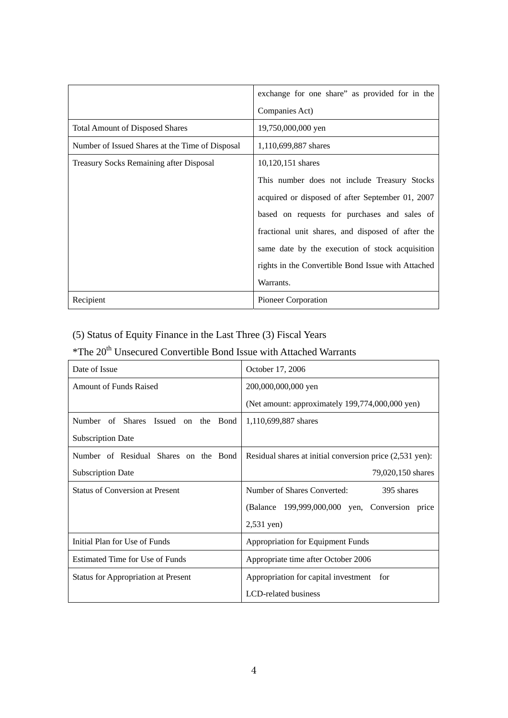|                                                 | exchange for one share" as provided for in the     |
|-------------------------------------------------|----------------------------------------------------|
|                                                 | Companies Act)                                     |
| <b>Total Amount of Disposed Shares</b>          | 19,750,000,000 yen                                 |
| Number of Issued Shares at the Time of Disposal | 1,110,699,887 shares                               |
| <b>Treasury Socks Remaining after Disposal</b>  | 10,120,151 shares                                  |
|                                                 | This number does not include Treasury Stocks       |
|                                                 | acquired or disposed of after September 01, 2007   |
|                                                 | based on requests for purchases and sales of       |
|                                                 | fractional unit shares, and disposed of after the  |
|                                                 | same date by the execution of stock acquisition    |
|                                                 | rights in the Convertible Bond Issue with Attached |
|                                                 | Warrants.                                          |
| Recipient                                       | Pioneer Corporation                                |

# (5) Status of Equity Finance in the Last Three (3) Fiscal Years

# ${}^{\ast} \mathrm{The~20}^{\mathrm{th}}$  Unsecured Convertible Bond Issue with Attached Warrants

| Date of Issue                              | October 17, 2006                                         |  |  |
|--------------------------------------------|----------------------------------------------------------|--|--|
| <b>Amount of Funds Raised</b>              | 200,000,000,000 yen                                      |  |  |
|                                            | (Net amount: approximately 199,774,000,000 yen)          |  |  |
| Number of Shares Issued on the Bond        | 1,110,699,887 shares                                     |  |  |
| <b>Subscription Date</b>                   |                                                          |  |  |
| Number of Residual Shares on the Bond      | Residual shares at initial conversion price (2,531 yen): |  |  |
| <b>Subscription Date</b>                   | 79,020,150 shares                                        |  |  |
| <b>Status of Conversion at Present</b>     | Number of Shares Converted:<br>395 shares                |  |  |
|                                            | (Balance 199,999,000,000 yen, Conversion price           |  |  |
|                                            | $2,531$ yen)                                             |  |  |
| Initial Plan for Use of Funds              | Appropriation for Equipment Funds                        |  |  |
| <b>Estimated Time for Use of Funds</b>     | Appropriate time after October 2006                      |  |  |
| <b>Status for Appropriation at Present</b> | Appropriation for capital investment for                 |  |  |
|                                            | LCD-related business                                     |  |  |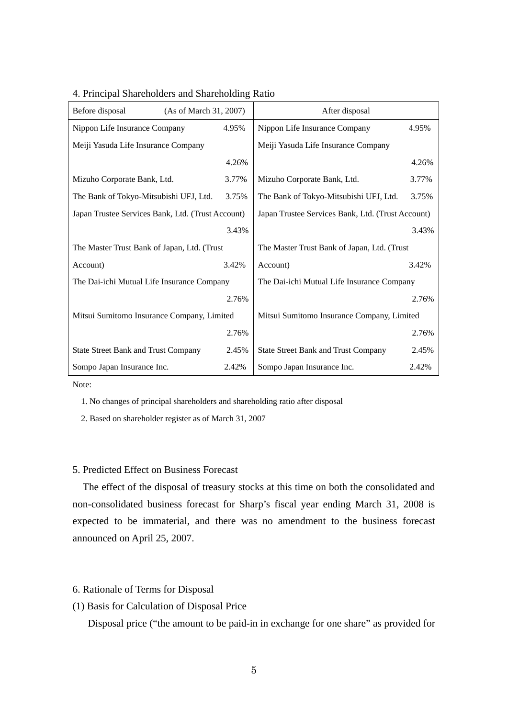| Before disposal<br>(As of March 31, 2007)         |       | After disposal                                    |       |  |
|---------------------------------------------------|-------|---------------------------------------------------|-------|--|
| Nippon Life Insurance Company                     | 4.95% | Nippon Life Insurance Company                     | 4.95% |  |
| Meiji Yasuda Life Insurance Company               |       | Meiji Yasuda Life Insurance Company               |       |  |
|                                                   | 4.26% |                                                   | 4.26% |  |
| Mizuho Corporate Bank, Ltd.                       | 3.77% | Mizuho Corporate Bank, Ltd.                       | 3.77% |  |
| The Bank of Tokyo-Mitsubishi UFJ, Ltd.            | 3.75% | The Bank of Tokyo-Mitsubishi UFJ, Ltd.            | 3.75% |  |
| Japan Trustee Services Bank, Ltd. (Trust Account) |       | Japan Trustee Services Bank, Ltd. (Trust Account) |       |  |
|                                                   | 3.43% |                                                   | 3.43% |  |
| The Master Trust Bank of Japan, Ltd. (Trust       |       | The Master Trust Bank of Japan, Ltd. (Trust       |       |  |
| Account)                                          | 3.42% | Account)                                          | 3.42% |  |
| The Dai-ichi Mutual Life Insurance Company        |       | The Dai-ichi Mutual Life Insurance Company        |       |  |
|                                                   | 2.76% |                                                   | 2.76% |  |
| Mitsui Sumitomo Insurance Company, Limited        |       | Mitsui Sumitomo Insurance Company, Limited        |       |  |
|                                                   | 2.76% |                                                   | 2.76% |  |
| <b>State Street Bank and Trust Company</b>        | 2.45% | <b>State Street Bank and Trust Company</b>        | 2.45% |  |
| Sompo Japan Insurance Inc.                        | 2.42% | Sompo Japan Insurance Inc.                        | 2.42% |  |

### 4. Principal Shareholders and Shareholding Ratio

Note:

1. No changes of principal shareholders and shareholding ratio after disposal

2. Based on shareholder register as of March 31, 2007

### 5. Predicted Effect on Business Forecast

 The effect of the disposal of treasury stocks at this time on both the consolidated and non-consolidated business forecast for Sharp's fiscal year ending March 31, 2008 is expected to be immaterial, and there was no amendment to the business forecast announced on April 25, 2007.

### 6. Rationale of Terms for Disposal

(1) Basis for Calculation of Disposal Price

Disposal price ("the amount to be paid-in in exchange for one share" as provided for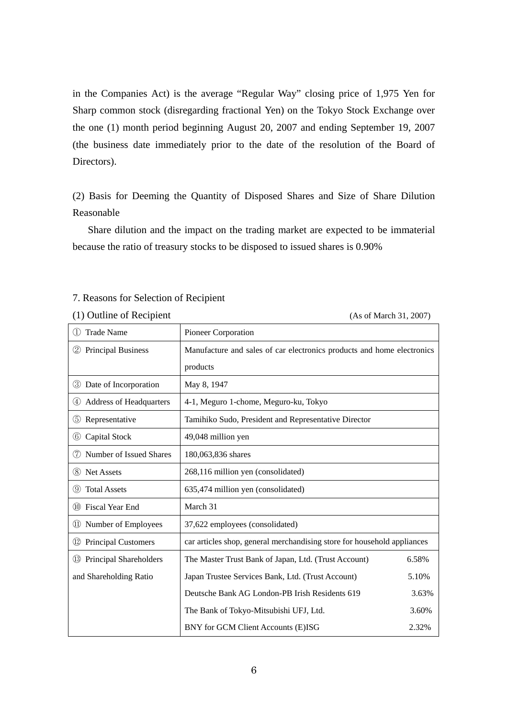in the Companies Act) is the average "Regular Way" closing price of 1,975 Yen for Sharp common stock (disregarding fractional Yen) on the Tokyo Stock Exchange over the one (1) month period beginning August 20, 2007 and ending September 19, 2007 (the business date immediately prior to the date of the resolution of the Board of Directors).

(2) Basis for Deeming the Quantity of Disposed Shares and Size of Share Dilution Reasonable

 Share dilution and the impact on the trading market are expected to be immaterial because the ratio of treasury stocks to be disposed to issued shares is 0.90%

### 7. Reasons for Selection of Recipient

(1) Outline of Recipient (As of March 31, 2007)

| <b>Trade Name</b>                                | <b>Pioneer Corporation</b>                                              |       |  |
|--------------------------------------------------|-------------------------------------------------------------------------|-------|--|
| <b>Principal Business</b><br>$\circled{2}$       | Manufacture and sales of car electronics products and home electronics  |       |  |
|                                                  | products                                                                |       |  |
| Date of Incorporation<br>(3)                     | May 8, 1947                                                             |       |  |
| Address of Headquarters<br>(4)                   | 4-1, Meguro 1-chome, Meguro-ku, Tokyo                                   |       |  |
| (5)<br>Representative                            | Tamihiko Sudo, President and Representative Director                    |       |  |
| (6)<br>Capital Stock                             | 49,048 million yen                                                      |       |  |
| Number of Issued Shares<br>(7)                   | 180,063,836 shares                                                      |       |  |
| (8) Net Assets                                   | 268,116 million yen (consolidated)                                      |       |  |
| (9)<br><b>Total Assets</b>                       | 635,474 million yen (consolidated)                                      |       |  |
| <b>Fiscal Year End</b><br>(10)                   | March 31                                                                |       |  |
| 11) Number of Employees                          | 37,622 employees (consolidated)                                         |       |  |
| <b>Principal Customers</b><br>$\left( 12\right)$ | car articles shop, general merchandising store for household appliances |       |  |
| <sup>13</sup> Principal Shareholders             | The Master Trust Bank of Japan, Ltd. (Trust Account)                    | 6.58% |  |
| and Shareholding Ratio                           | Japan Trustee Services Bank, Ltd. (Trust Account)                       | 5.10% |  |
|                                                  | Deutsche Bank AG London-PB Irish Residents 619                          | 3.63% |  |
|                                                  | The Bank of Tokyo-Mitsubishi UFJ, Ltd.                                  | 3.60% |  |
|                                                  | BNY for GCM Client Accounts (E)ISG                                      | 2.32% |  |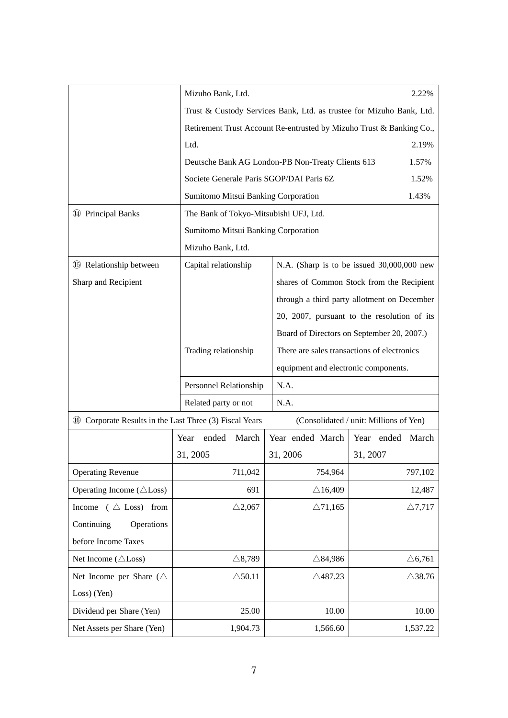|                                                                |                                                                      | Mizuho Bank, Ltd.                                                    |                                                   |                                             |  |  |
|----------------------------------------------------------------|----------------------------------------------------------------------|----------------------------------------------------------------------|---------------------------------------------------|---------------------------------------------|--|--|
|                                                                |                                                                      | Trust & Custody Services Bank, Ltd. as trustee for Mizuho Bank, Ltd. |                                                   |                                             |  |  |
|                                                                | Retirement Trust Account Re-entrusted by Mizuho Trust & Banking Co., |                                                                      |                                                   |                                             |  |  |
|                                                                | Ltd.                                                                 |                                                                      |                                                   |                                             |  |  |
|                                                                |                                                                      |                                                                      | Deutsche Bank AG London-PB Non-Treaty Clients 613 | 1.57%                                       |  |  |
|                                                                |                                                                      |                                                                      | Societe Generale Paris SGOP/DAI Paris 6Z          | 1.52%                                       |  |  |
|                                                                |                                                                      |                                                                      | Sumitomo Mitsui Banking Corporation               | 1.43%                                       |  |  |
| <sup>14</sup> Principal Banks                                  |                                                                      |                                                                      | The Bank of Tokyo-Mitsubishi UFJ, Ltd.            |                                             |  |  |
|                                                                |                                                                      |                                                                      | Sumitomo Mitsui Banking Corporation               |                                             |  |  |
|                                                                | Mizuho Bank, Ltd.                                                    |                                                                      |                                                   |                                             |  |  |
| <b>15</b> Relationship between                                 | Capital relationship                                                 |                                                                      |                                                   | N.A. (Sharp is to be issued 30,000,000 new  |  |  |
| Sharp and Recipient                                            |                                                                      |                                                                      |                                                   | shares of Common Stock from the Recipient   |  |  |
|                                                                |                                                                      |                                                                      |                                                   | through a third party allotment on December |  |  |
|                                                                |                                                                      |                                                                      |                                                   | 20, 2007, pursuant to the resolution of its |  |  |
|                                                                |                                                                      |                                                                      |                                                   | Board of Directors on September 20, 2007.)  |  |  |
|                                                                | Trading relationship                                                 |                                                                      | There are sales transactions of electronics       |                                             |  |  |
|                                                                |                                                                      |                                                                      | equipment and electronic components.              |                                             |  |  |
|                                                                | Personnel Relationship                                               |                                                                      | N.A.                                              |                                             |  |  |
|                                                                | Related party or not                                                 |                                                                      | N.A.                                              |                                             |  |  |
| <b>66</b> Corporate Results in the Last Three (3) Fiscal Years |                                                                      |                                                                      | (Consolidated / unit: Millions of Yen)            |                                             |  |  |
|                                                                | ended<br>Year                                                        | March                                                                | Year ended March                                  | Year ended<br>March                         |  |  |
|                                                                | 31, 2005                                                             |                                                                      | 31, 2006                                          | 31, 2007                                    |  |  |
| <b>Operating Revenue</b>                                       |                                                                      | 711,042                                                              | 754,964                                           | 797,102                                     |  |  |
| Operating Income ( $\triangle$ Loss)                           |                                                                      | 691                                                                  | $\triangle$ 16,409                                | 12,487                                      |  |  |
| Income ( $\triangle$ Loss) from                                | $\triangle$ 2,067                                                    |                                                                      | $\triangle$ 71,165                                | $\triangle$ 7,717                           |  |  |
| Continuing<br>Operations                                       |                                                                      |                                                                      |                                                   |                                             |  |  |
| before Income Taxes                                            |                                                                      |                                                                      |                                                   |                                             |  |  |
| Net Income ( $\triangle$ Loss)                                 | $\triangle$ 8,789                                                    |                                                                      | $\triangle$ 84,986                                | $\triangle 6,761$                           |  |  |
| Net Income per Share ( $\triangle$                             | $\triangle$ 50.11                                                    |                                                                      | $\triangle$ 487.23                                | $\triangle$ 38.76                           |  |  |
| Loss) (Yen)                                                    |                                                                      |                                                                      |                                                   |                                             |  |  |
| Dividend per Share (Yen)                                       |                                                                      | 25.00                                                                | 10.00                                             | 10.00                                       |  |  |
| Net Assets per Share (Yen)                                     |                                                                      |                                                                      |                                                   |                                             |  |  |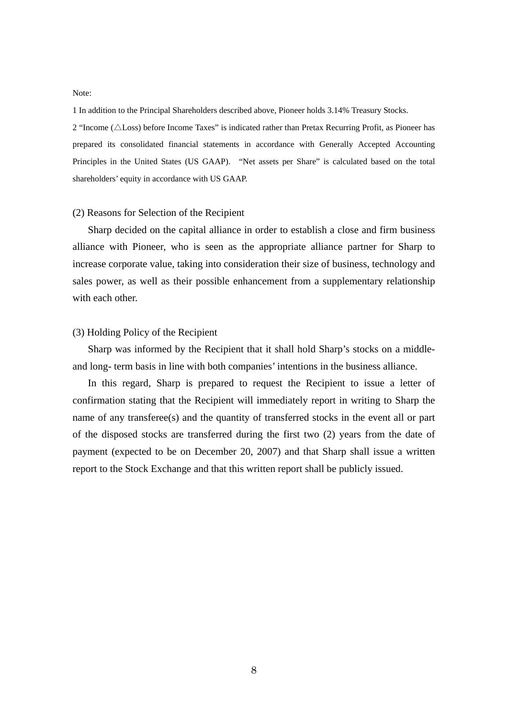Note:

1 In addition to the Principal Shareholders described above, Pioneer holds 3.14% Treasury Stocks.

2 "Income (△Loss) before Income Taxes" is indicated rather than Pretax Recurring Profit, as Pioneer has prepared its consolidated financial statements in accordance with Generally Accepted Accounting Principles in the United States (US GAAP). "Net assets per Share" is calculated based on the total shareholders' equity in accordance with US GAAP.

### (2) Reasons for Selection of the Recipient

 Sharp decided on the capital alliance in order to establish a close and firm business alliance with Pioneer, who is seen as the appropriate alliance partner for Sharp to increase corporate value, taking into consideration their size of business, technology and sales power, as well as their possible enhancement from a supplementary relationship with each other.

### (3) Holding Policy of the Recipient

 Sharp was informed by the Recipient that it shall hold Sharp's stocks on a middleand long- term basis in line with both companies' intentions in the business alliance.

 In this regard, Sharp is prepared to request the Recipient to issue a letter of confirmation stating that the Recipient will immediately report in writing to Sharp the name of any transferee(s) and the quantity of transferred stocks in the event all or part of the disposed stocks are transferred during the first two (2) years from the date of payment (expected to be on December 20, 2007) and that Sharp shall issue a written report to the Stock Exchange and that this written report shall be publicly issued.